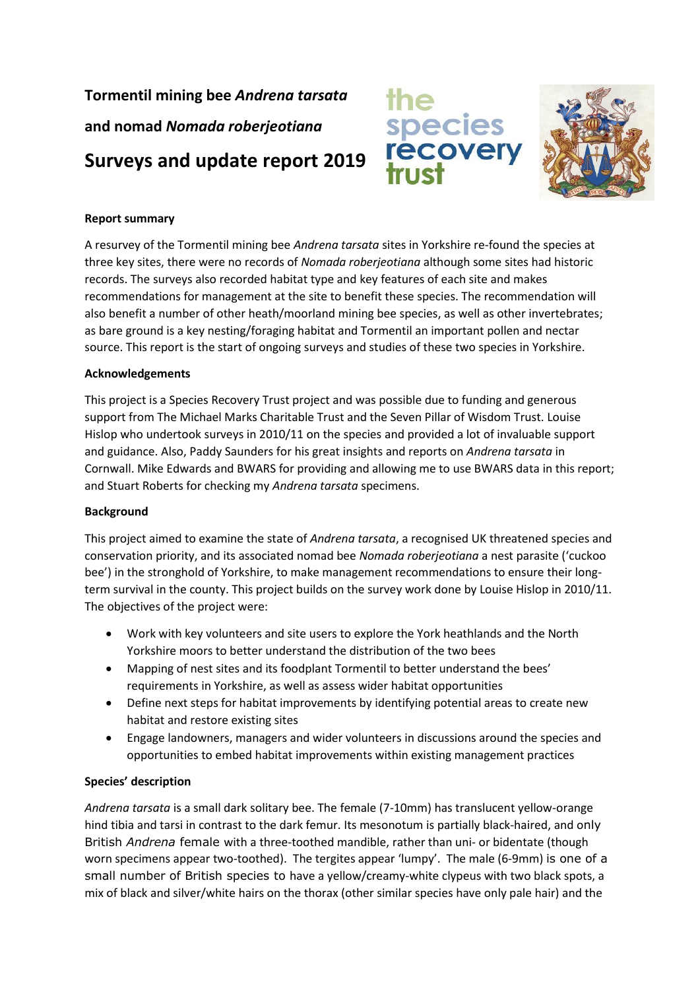**Tormentil mining bee** *Andrena tarsata* **and nomad** *Nomada roberjeotiana* **Surveys and update report 2019**





## **Report summary**

A resurvey of the Tormentil mining bee *Andrena tarsata* sites in Yorkshire re-found the species at three key sites, there were no records of *Nomada roberjeotiana* although some sites had historic records. The surveys also recorded habitat type and key features of each site and makes recommendations for management at the site to benefit these species. The recommendation will also benefit a number of other heath/moorland mining bee species, as well as other invertebrates; as bare ground is a key nesting/foraging habitat and Tormentil an important pollen and nectar source. This report is the start of ongoing surveys and studies of these two species in Yorkshire.

#### **Acknowledgements**

This project is a Species Recovery Trust project and was possible due to funding and generous support from The Michael Marks Charitable Trust and the Seven Pillar of Wisdom Trust. Louise Hislop who undertook surveys in 2010/11 on the species and provided a lot of invaluable support and guidance. Also, Paddy Saunders for his great insights and reports on *Andrena tarsata* in Cornwall. Mike Edwards and BWARS for providing and allowing me to use BWARS data in this report; and Stuart Roberts for checking my *Andrena tarsata* specimens.

#### **Background**

This project aimed to examine the state of *Andrena tarsata*, a recognised UK threatened species and conservation priority, and its associated nomad bee *Nomada roberjeotiana* a nest parasite ('cuckoo bee') in the stronghold of Yorkshire, to make management recommendations to ensure their longterm survival in the county. This project builds on the survey work done by Louise Hislop in 2010/11. The objectives of the project were:

- Work with key volunteers and site users to explore the York heathlands and the North Yorkshire moors to better understand the distribution of the two bees
- Mapping of nest sites and its foodplant Tormentil to better understand the bees' requirements in Yorkshire, as well as assess wider habitat opportunities
- Define next steps for habitat improvements by identifying potential areas to create new habitat and restore existing sites
- Engage landowners, managers and wider volunteers in discussions around the species and opportunities to embed habitat improvements within existing management practices

#### **Species' description**

*Andrena tarsata* is a small dark solitary bee. The female (7-10mm) has translucent yellow-orange hind tibia and tarsi in contrast to the dark femur. Its mesonotum is partially black-haired, and only British *Andrena* female with a three-toothed mandible, rather than uni- or bidentate (though worn specimens appear two-toothed). The tergites appear 'lumpy'. The male (6-9mm) is one of a small number of British species to have a yellow/creamy-white clypeus with two black spots, a mix of black and silver/white hairs on the thorax (other similar species have only pale hair) and the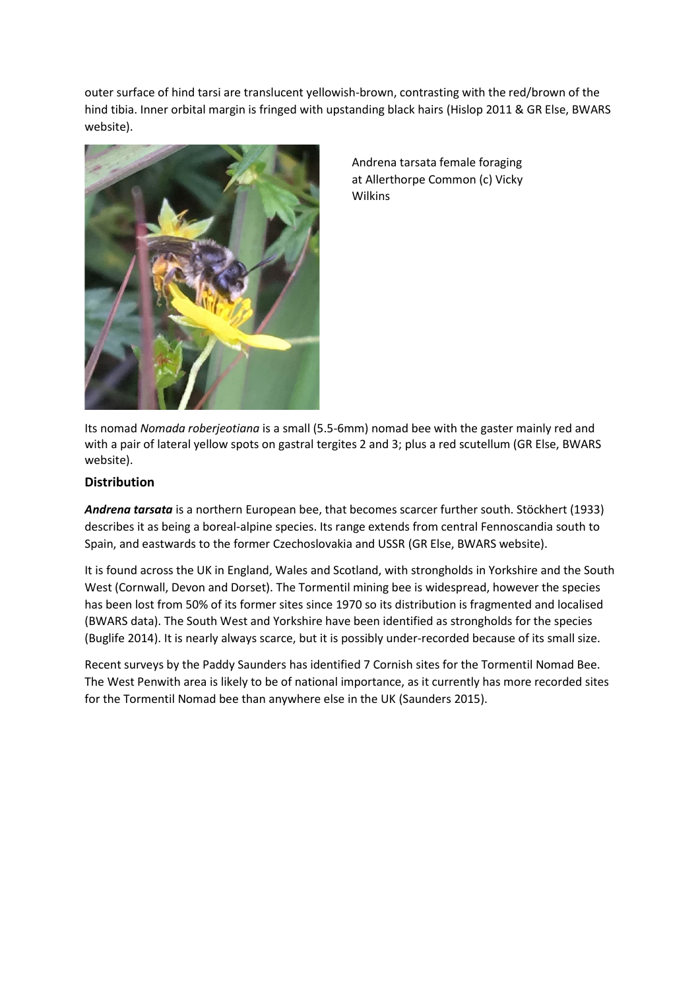outer surface of hind tarsi are translucent yellowish-brown, contrasting with the red/brown of the hind tibia. Inner orbital margin is fringed with upstanding black hairs (Hislop 2011 & GR Else, BWARS website).



Andrena tarsata female foraging at Allerthorpe Common (c) Vicky Wilkins

Its nomad *Nomada roberjeotiana* is a small (5.5-6mm) nomad bee with the gaster mainly red and with a pair of lateral yellow spots on gastral tergites 2 and 3; plus a red scutellum (GR Else, BWARS website).

# **Distribution**

*Andrena tarsata* is a northern European bee, that becomes scarcer further south. Stöckhert (1933) describes it as being a boreal-alpine species. Its range extends from central Fennoscandia south to Spain, and eastwards to the former Czechoslovakia and USSR (GR Else, BWARS website).

It is found across the UK in England, Wales and Scotland, with strongholds in Yorkshire and the South West (Cornwall, Devon and Dorset). The Tormentil mining bee is widespread, however the species has been lost from 50% of its former sites since 1970 so its distribution is fragmented and localised (BWARS data). The South West and Yorkshire have been identified as strongholds for the species (Buglife 2014). It is nearly always scarce, but it is possibly under-recorded because of its small size.

Recent surveys by the Paddy Saunders has identified 7 Cornish sites for the Tormentil Nomad Bee. The West Penwith area is likely to be of national importance, as it currently has more recorded sites for the Tormentil Nomad bee than anywhere else in the UK (Saunders 2015).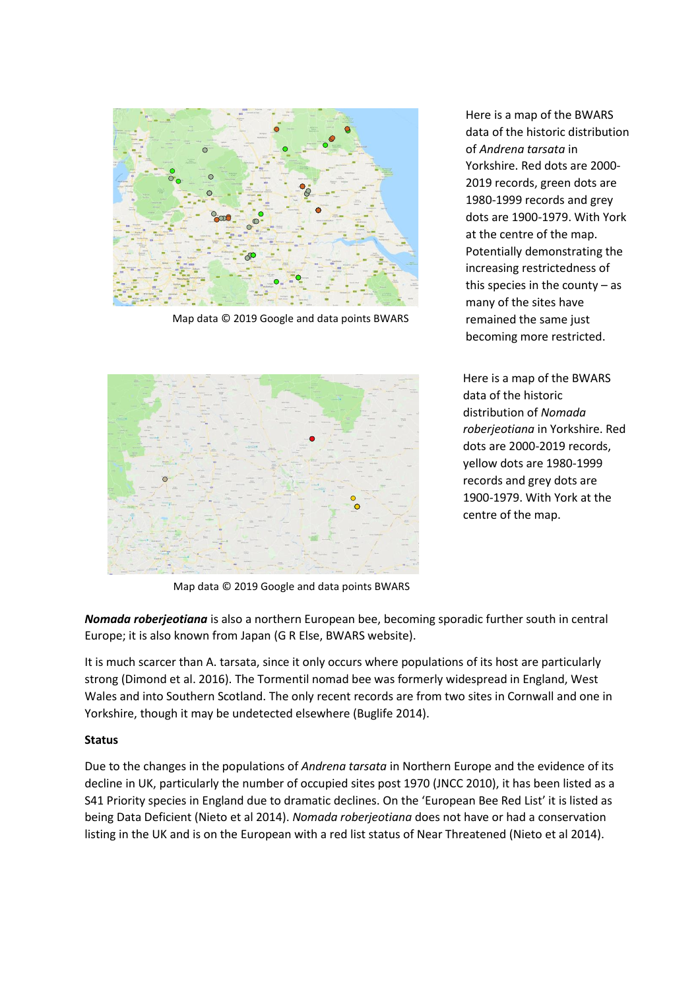

Map data © 2019 Google and data points BWARS



Here is a map of the BWARS data of the historic distribution of *Andrena tarsata* in Yorkshire. Red dots are 2000- 2019 records, green dots are 1980-1999 records and grey dots are 1900-1979. With York at the centre of the map. Potentially demonstrating the increasing restrictedness of this species in the county  $-$  as many of the sites have remained the same just becoming more restricted.

Here is a map of the BWARS data of the historic distribution of *Nomada roberjeotiana* in Yorkshire. Red dots are 2000-2019 records, yellow dots are 1980-1999 records and grey dots are 1900-1979. With York at the centre of the map.

Map data © 2019 Google and data points BWARS

*Nomada roberjeotiana* is also a northern European bee, becoming sporadic further south in central Europe; it is also known from Japan (G R Else, BWARS website).

It is much scarcer than A. tarsata, since it only occurs where populations of its host are particularly strong (Dimond et al. 2016). The Tormentil nomad bee was formerly widespread in England, West Wales and into Southern Scotland. The only recent records are from two sites in Cornwall and one in Yorkshire, though it may be undetected elsewhere (Buglife 2014).

#### **Status**

Due to the changes in the populations of *Andrena tarsata* in Northern Europe and the evidence of its decline in UK, particularly the number of occupied sites post 1970 (JNCC 2010), it has been listed as a S41 Priority species in England due to dramatic declines. On the 'European Bee Red List' it is listed as being Data Deficient (Nieto et al 2014). *Nomada roberjeotiana* does not have or had a conservation listing in the UK and is on the European with a red list status of Near Threatened (Nieto et al 2014).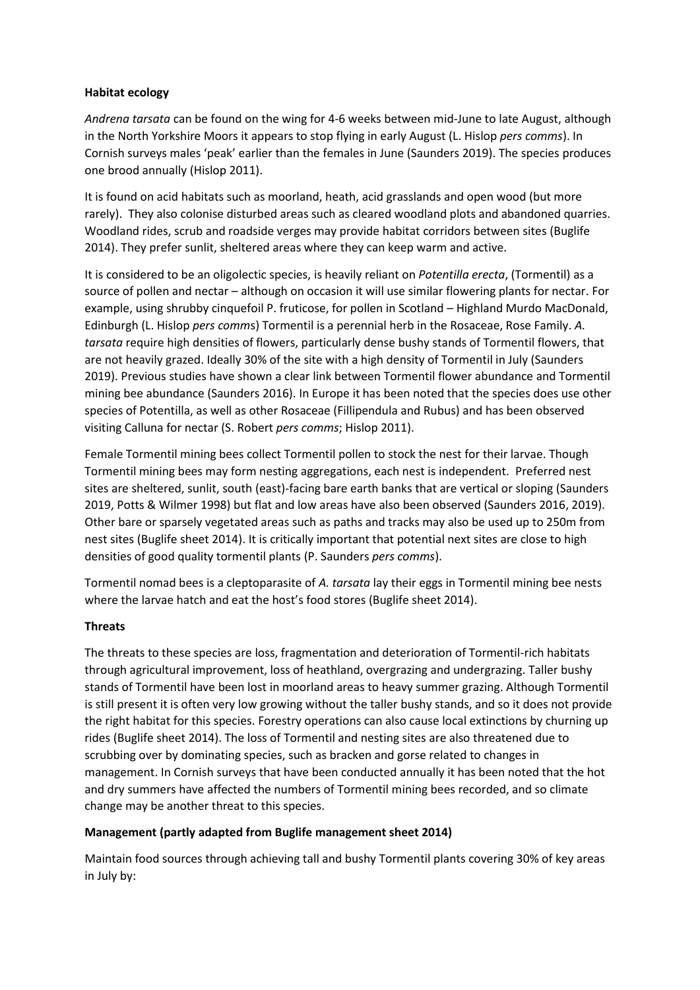### **Habitat ecology**

*Andrena tarsata* can be found on the wing for 4-6 weeks between mid-June to late August, although in the North Yorkshire Moors it appears to stop flying in early August (L. Hislop *pers comms*). In Cornish surveys males 'peak' earlier than the females in June (Saunders 2019). The species produces one brood annually (Hislop 2011).

It is found on acid habitats such as moorland, heath, acid grasslands and open wood (but more rarely). They also colonise disturbed areas such as cleared woodland plots and abandoned quarries. Woodland rides, scrub and roadside verges may provide habitat corridors between sites (Buglife 2014). They prefer sunlit, sheltered areas where they can keep warm and active.

It is considered to be an oligolectic species, is heavily reliant on *Potentilla erecta*, (Tormentil) as a source of pollen and nectar – although on occasion it will use similar flowering plants for nectar. For example, using shrubby cinquefoil P. fruticose, for pollen in Scotland – Highland Murdo MacDonald, Edinburgh (L. Hislop *pers comm*s) Tormentil is a perennial herb in the Rosaceae, Rose Family. *A. tarsata* require high densities of flowers, particularly dense bushy stands of Tormentil flowers, that are not heavily grazed. Ideally 30% of the site with a high density of Tormentil in July (Saunders 2019). Previous studies have shown a clear link between Tormentil flower abundance and Tormentil mining bee abundance (Saunders 2016). In Europe it has been noted that the species does use other species of Potentilla, as well as other Rosaceae (Fillipendula and Rubus) and has been observed visiting Calluna for nectar (S. Robert *pers comms*; Hislop 2011).

Female Tormentil mining bees collect Tormentil pollen to stock the nest for their larvae. Though Tormentil mining bees may form nesting aggregations, each nest is independent. Preferred nest sites are sheltered, sunlit, south (east)-facing bare earth banks that are vertical or sloping (Saunders 2019, Potts & Wilmer 1998) but flat and low areas have also been observed (Saunders 2016, 2019). Other bare or sparsely vegetated areas such as paths and tracks may also be used up to 250m from nest sites (Buglife sheet 2014). It is critically important that potential next sites are close to high densities of good quality tormentil plants (P. Saunders *pers comms*).

Tormentil nomad bees is a cleptoparasite of *A. tarsata* lay their eggs in Tormentil mining bee nests where the larvae hatch and eat the host's food stores (Buglife sheet 2014).

#### **Threats**

The threats to these species are loss, fragmentation and deterioration of Tormentil-rich habitats through agricultural improvement, loss of heathland, overgrazing and undergrazing. Taller bushy stands of Tormentil have been lost in moorland areas to heavy summer grazing. Although Tormentil is still present it is often very low growing without the taller bushy stands, and so it does not provide the right habitat for this species. Forestry operations can also cause local extinctions by churning up rides (Buglife sheet 2014). The loss of Tormentil and nesting sites are also threatened due to scrubbing over by dominating species, such as bracken and gorse related to changes in management. In Cornish surveys that have been conducted annually it has been noted that the hot and dry summers have affected the numbers of Tormentil mining bees recorded, and so climate change may be another threat to this species.

## **Management (partly adapted from Buglife management sheet 2014)**

Maintain food sources through achieving tall and bushy Tormentil plants covering 30% of key areas in July by: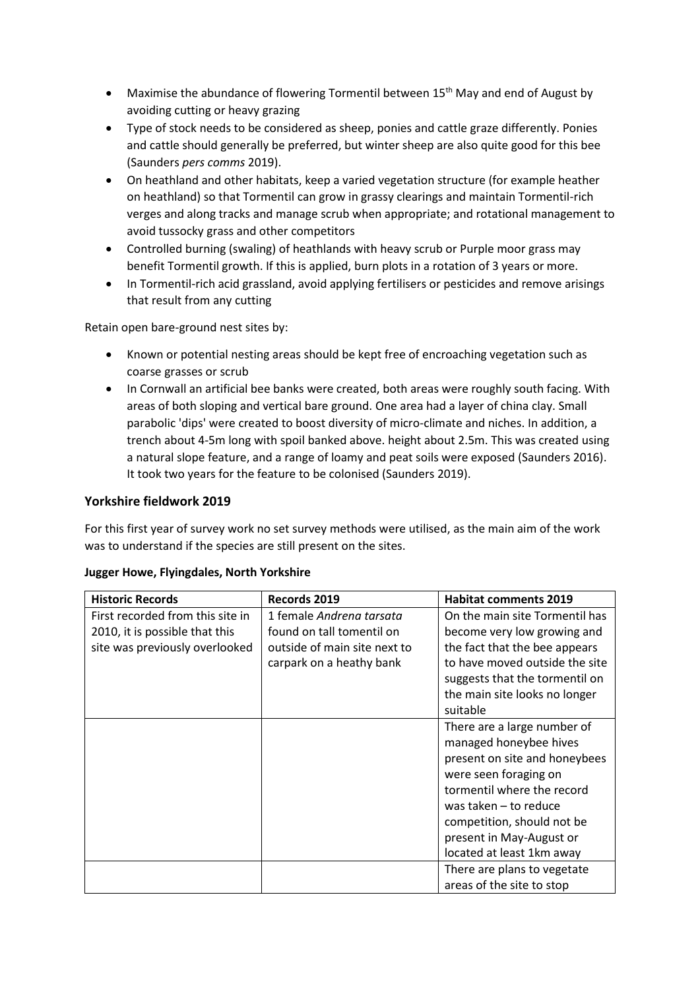- Maximise the abundance of flowering Tormentil between 15<sup>th</sup> May and end of August by avoiding cutting or heavy grazing
- Type of stock needs to be considered as sheep, ponies and cattle graze differently. Ponies and cattle should generally be preferred, but winter sheep are also quite good for this bee (Saunders *pers comms* 2019).
- On heathland and other habitats, keep a varied vegetation structure (for example heather on heathland) so that Tormentil can grow in grassy clearings and maintain Tormentil-rich verges and along tracks and manage scrub when appropriate; and rotational management to avoid tussocky grass and other competitors
- Controlled burning (swaling) of heathlands with heavy scrub or Purple moor grass may benefit Tormentil growth. If this is applied, burn plots in a rotation of 3 years or more.
- In Tormentil-rich acid grassland, avoid applying fertilisers or pesticides and remove arisings that result from any cutting

Retain open bare-ground nest sites by:

- Known or potential nesting areas should be kept free of encroaching vegetation such as coarse grasses or scrub
- In Cornwall an artificial bee banks were created, both areas were roughly south facing. With areas of both sloping and vertical bare ground. One area had a layer of china clay. Small parabolic 'dips' were created to boost diversity of micro-climate and niches. In addition, a trench about 4-5m long with spoil banked above. height about 2.5m. This was created using a natural slope feature, and a range of loamy and peat soils were exposed (Saunders 2016). It took two years for the feature to be colonised (Saunders 2019).

# **Yorkshire fieldwork 2019**

For this first year of survey work no set survey methods were utilised, as the main aim of the work was to understand if the species are still present on the sites.

| <b>Historic Records</b>          | Records 2019                 | <b>Habitat comments 2019</b>   |
|----------------------------------|------------------------------|--------------------------------|
| First recorded from this site in | 1 female Andrena tarsata     | On the main site Tormentil has |
| 2010, it is possible that this   | found on tall tomentil on    | become very low growing and    |
| site was previously overlooked   | outside of main site next to | the fact that the bee appears  |
|                                  | carpark on a heathy bank     | to have moved outside the site |
|                                  |                              | suggests that the tormentil on |
|                                  |                              | the main site looks no longer  |
|                                  |                              | suitable                       |
|                                  |                              | There are a large number of    |
|                                  |                              | managed honeybee hives         |
|                                  |                              | present on site and honeybees  |
|                                  |                              | were seen foraging on          |
|                                  |                              | tormentil where the record     |
|                                  |                              | was taken $-$ to reduce        |
|                                  |                              | competition, should not be     |
|                                  |                              | present in May-August or       |
|                                  |                              | located at least 1km away      |
|                                  |                              | There are plans to vegetate    |
|                                  |                              | areas of the site to stop      |

## **Jugger Howe, Flyingdales, North Yorkshire**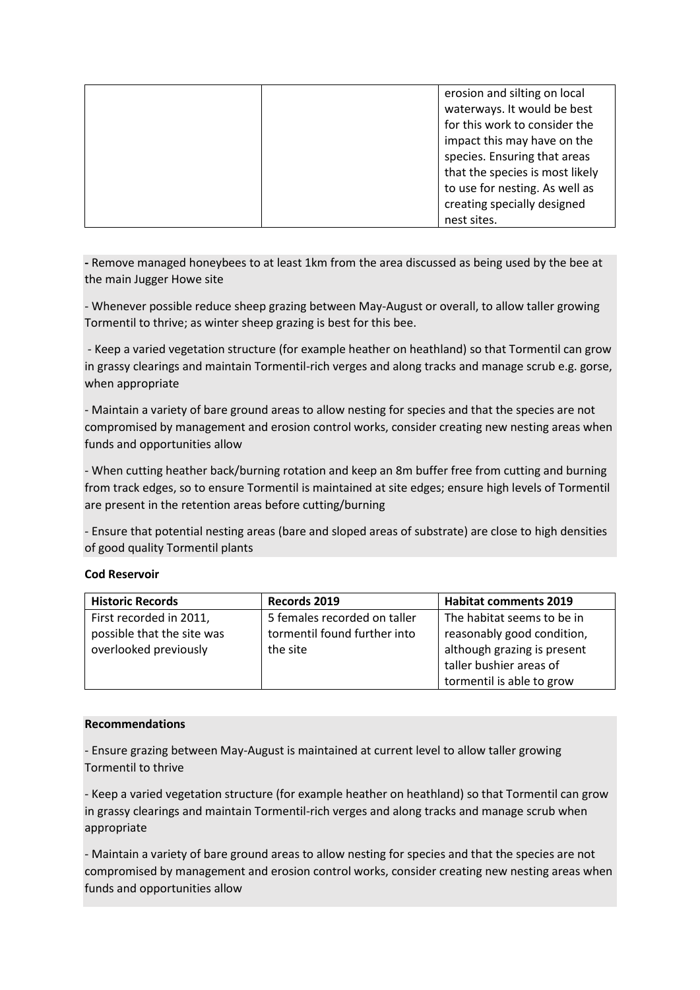| erosion and silting on local    |
|---------------------------------|
| waterways. It would be best     |
| for this work to consider the   |
| impact this may have on the     |
| species. Ensuring that areas    |
| that the species is most likely |
| to use for nesting. As well as  |
| creating specially designed     |
| nest sites.                     |

**-** Remove managed honeybees to at least 1km from the area discussed as being used by the bee at the main Jugger Howe site

- Whenever possible reduce sheep grazing between May-August or overall, to allow taller growing Tormentil to thrive; as winter sheep grazing is best for this bee.

- Keep a varied vegetation structure (for example heather on heathland) so that Tormentil can grow in grassy clearings and maintain Tormentil-rich verges and along tracks and manage scrub e.g. gorse, when appropriate

- Maintain a variety of bare ground areas to allow nesting for species and that the species are not compromised by management and erosion control works, consider creating new nesting areas when funds and opportunities allow

- When cutting heather back/burning rotation and keep an 8m buffer free from cutting and burning from track edges, so to ensure Tormentil is maintained at site edges; ensure high levels of Tormentil are present in the retention areas before cutting/burning

- Ensure that potential nesting areas (bare and sloped areas of substrate) are close to high densities of good quality Tormentil plants

#### **Cod Reservoir**

| <b>Historic Records</b>    | Records 2019                 | <b>Habitat comments 2019</b> |
|----------------------------|------------------------------|------------------------------|
| First recorded in 2011,    | 5 females recorded on taller | The habitat seems to be in   |
| possible that the site was | tormentil found further into | reasonably good condition,   |
| overlooked previously      | the site                     | although grazing is present  |
|                            |                              | taller bushier areas of      |
|                            |                              | tormentil is able to grow    |

#### **Recommendations**

- Ensure grazing between May-August is maintained at current level to allow taller growing Tormentil to thrive

- Keep a varied vegetation structure (for example heather on heathland) so that Tormentil can grow in grassy clearings and maintain Tormentil-rich verges and along tracks and manage scrub when appropriate

- Maintain a variety of bare ground areas to allow nesting for species and that the species are not compromised by management and erosion control works, consider creating new nesting areas when funds and opportunities allow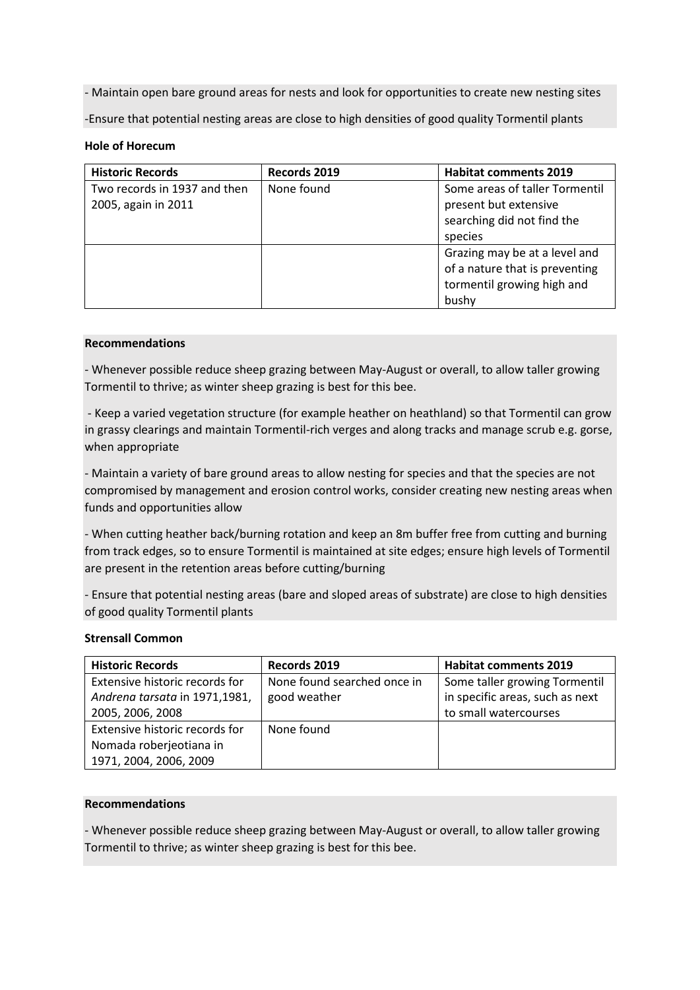- Maintain open bare ground areas for nests and look for opportunities to create new nesting sites

-Ensure that potential nesting areas are close to high densities of good quality Tormentil plants

#### **Hole of Horecum**

| <b>Historic Records</b>      | Records 2019 | <b>Habitat comments 2019</b>   |
|------------------------------|--------------|--------------------------------|
| Two records in 1937 and then | None found   | Some areas of taller Tormentil |
| 2005, again in 2011          |              | present but extensive          |
|                              |              | searching did not find the     |
|                              |              | species                        |
|                              |              | Grazing may be at a level and  |
|                              |              | of a nature that is preventing |
|                              |              | tormentil growing high and     |
|                              |              | bushy                          |

#### **Recommendations**

- Whenever possible reduce sheep grazing between May-August or overall, to allow taller growing Tormentil to thrive; as winter sheep grazing is best for this bee.

- Keep a varied vegetation structure (for example heather on heathland) so that Tormentil can grow in grassy clearings and maintain Tormentil-rich verges and along tracks and manage scrub e.g. gorse, when appropriate

- Maintain a variety of bare ground areas to allow nesting for species and that the species are not compromised by management and erosion control works, consider creating new nesting areas when funds and opportunities allow

- When cutting heather back/burning rotation and keep an 8m buffer free from cutting and burning from track edges, so to ensure Tormentil is maintained at site edges; ensure high levels of Tormentil are present in the retention areas before cutting/burning

- Ensure that potential nesting areas (bare and sloped areas of substrate) are close to high densities of good quality Tormentil plants

#### **Strensall Common**

| <b>Historic Records</b>        | Records 2019                | <b>Habitat comments 2019</b>    |
|--------------------------------|-----------------------------|---------------------------------|
| Extensive historic records for | None found searched once in | Some taller growing Tormentil   |
| Andrena tarsata in 1971,1981,  | good weather                | in specific areas, such as next |
| 2005, 2006, 2008               |                             | to small watercourses           |
| Extensive historic records for | None found                  |                                 |
| Nomada roberjeotiana in        |                             |                                 |
| 1971, 2004, 2006, 2009         |                             |                                 |

### **Recommendations**

- Whenever possible reduce sheep grazing between May-August or overall, to allow taller growing Tormentil to thrive; as winter sheep grazing is best for this bee.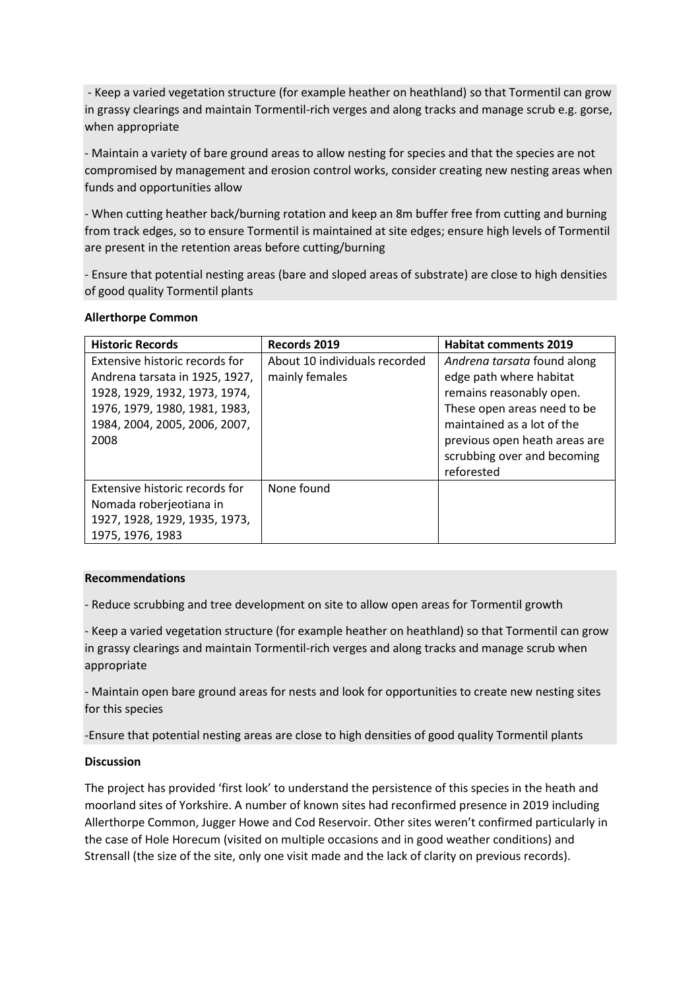- Keep a varied vegetation structure (for example heather on heathland) so that Tormentil can grow in grassy clearings and maintain Tormentil-rich verges and along tracks and manage scrub e.g. gorse, when appropriate

- Maintain a variety of bare ground areas to allow nesting for species and that the species are not compromised by management and erosion control works, consider creating new nesting areas when funds and opportunities allow

- When cutting heather back/burning rotation and keep an 8m buffer free from cutting and burning from track edges, so to ensure Tormentil is maintained at site edges; ensure high levels of Tormentil are present in the retention areas before cutting/burning

- Ensure that potential nesting areas (bare and sloped areas of substrate) are close to high densities of good quality Tormentil plants

| <b>Historic Records</b>        | Records 2019                  | <b>Habitat comments 2019</b>  |
|--------------------------------|-------------------------------|-------------------------------|
| Extensive historic records for | About 10 individuals recorded | Andrena tarsata found along   |
| Andrena tarsata in 1925, 1927, | mainly females                | edge path where habitat       |
| 1928, 1929, 1932, 1973, 1974,  |                               | remains reasonably open.      |
| 1976, 1979, 1980, 1981, 1983,  |                               | These open areas need to be   |
| 1984, 2004, 2005, 2006, 2007,  |                               | maintained as a lot of the    |
| 2008                           |                               | previous open heath areas are |
|                                |                               | scrubbing over and becoming   |
|                                |                               | reforested                    |
| Extensive historic records for | None found                    |                               |
| Nomada roberjeotiana in        |                               |                               |
| 1927, 1928, 1929, 1935, 1973,  |                               |                               |
| 1975, 1976, 1983               |                               |                               |

#### **Allerthorpe Common**

#### **Recommendations**

- Reduce scrubbing and tree development on site to allow open areas for Tormentil growth

- Keep a varied vegetation structure (for example heather on heathland) so that Tormentil can grow in grassy clearings and maintain Tormentil-rich verges and along tracks and manage scrub when appropriate

- Maintain open bare ground areas for nests and look for opportunities to create new nesting sites for this species

-Ensure that potential nesting areas are close to high densities of good quality Tormentil plants

#### **Discussion**

The project has provided 'first look' to understand the persistence of this species in the heath and moorland sites of Yorkshire. A number of known sites had reconfirmed presence in 2019 including Allerthorpe Common, Jugger Howe and Cod Reservoir. Other sites weren't confirmed particularly in the case of Hole Horecum (visited on multiple occasions and in good weather conditions) and Strensall (the size of the site, only one visit made and the lack of clarity on previous records).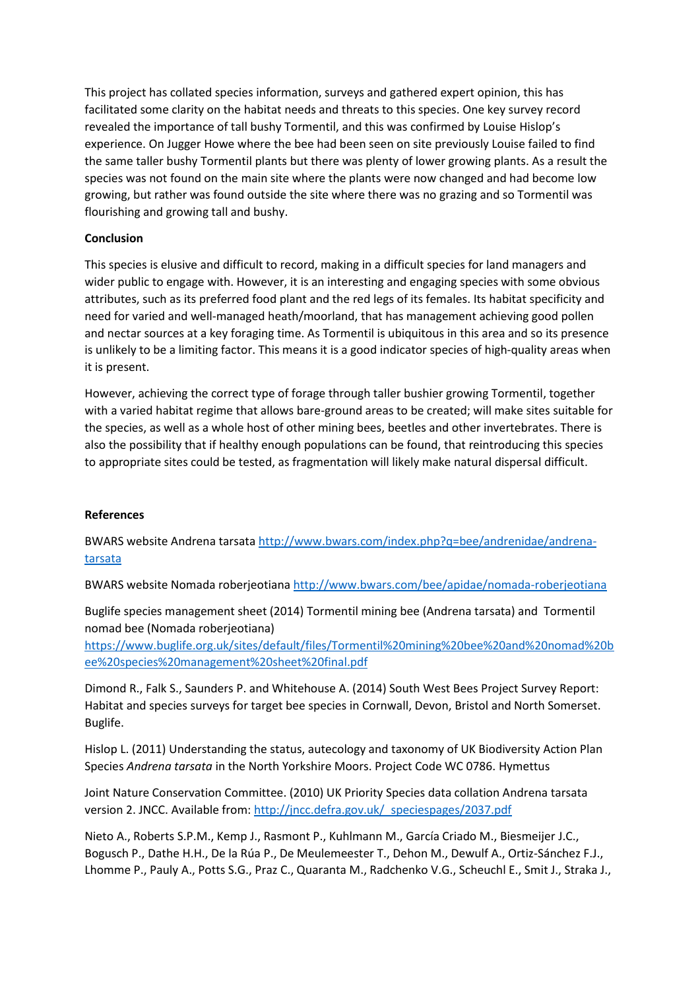This project has collated species information, surveys and gathered expert opinion, this has facilitated some clarity on the habitat needs and threats to this species. One key survey record revealed the importance of tall bushy Tormentil, and this was confirmed by Louise Hislop's experience. On Jugger Howe where the bee had been seen on site previously Louise failed to find the same taller bushy Tormentil plants but there was plenty of lower growing plants. As a result the species was not found on the main site where the plants were now changed and had become low growing, but rather was found outside the site where there was no grazing and so Tormentil was flourishing and growing tall and bushy.

## **Conclusion**

This species is elusive and difficult to record, making in a difficult species for land managers and wider public to engage with. However, it is an interesting and engaging species with some obvious attributes, such as its preferred food plant and the red legs of its females. Its habitat specificity and need for varied and well-managed heath/moorland, that has management achieving good pollen and nectar sources at a key foraging time. As Tormentil is ubiquitous in this area and so its presence is unlikely to be a limiting factor. This means it is a good indicator species of high-quality areas when it is present.

However, achieving the correct type of forage through taller bushier growing Tormentil, together with a varied habitat regime that allows bare-ground areas to be created; will make sites suitable for the species, as well as a whole host of other mining bees, beetles and other invertebrates. There is also the possibility that if healthy enough populations can be found, that reintroducing this species to appropriate sites could be tested, as fragmentation will likely make natural dispersal difficult.

#### **References**

BWARS website Andrena tarsata [http://www.bwars.com/index.php?q=bee/andrenidae/andrena](http://www.bwars.com/index.php?q=bee/andrenidae/andrena-tarsata)[tarsata](http://www.bwars.com/index.php?q=bee/andrenidae/andrena-tarsata)

BWARS website Nomada roberjeotian[a http://www.bwars.com/bee/apidae/nomada-roberjeotiana](http://www.bwars.com/bee/apidae/nomada-roberjeotiana)

Buglife species management sheet (2014) Tormentil mining bee (Andrena tarsata) and Tormentil nomad bee (Nomada roberjeotiana)

[https://www.buglife.org.uk/sites/default/files/Tormentil%20mining%20bee%20and%20nomad%20b](https://www.buglife.org.uk/sites/default/files/Tormentil%20mining%20bee%20and%20nomad%20bee%20species%20management%20sheet%20final.pdf) [ee%20species%20management%20sheet%20final.pdf](https://www.buglife.org.uk/sites/default/files/Tormentil%20mining%20bee%20and%20nomad%20bee%20species%20management%20sheet%20final.pdf)

Dimond R., Falk S., Saunders P. and Whitehouse A. (2014) South West Bees Project Survey Report: Habitat and species surveys for target bee species in Cornwall, Devon, Bristol and North Somerset. Buglife.

Hislop L. (2011) Understanding the status, autecology and taxonomy of UK Biodiversity Action Plan Species *Andrena tarsata* in the North Yorkshire Moors. Project Code WC 0786. Hymettus

Joint Nature Conservation Committee. (2010) UK Priority Species data collation Andrena tarsata version 2. JNCC. Available from: http://jncc.defra.gov.uk/ speciespages/2037.pdf

Nieto A., Roberts S.P.M., Kemp J., Rasmont P., Kuhlmann M., García Criado M., Biesmeijer J.C., Bogusch P., Dathe H.H., De la Rúa P., De Meulemeester T., Dehon M., Dewulf A., Ortiz-Sánchez F.J., Lhomme P., Pauly A., Potts S.G., Praz C., Quaranta M., Radchenko V.G., Scheuchl E., Smit J., Straka J.,